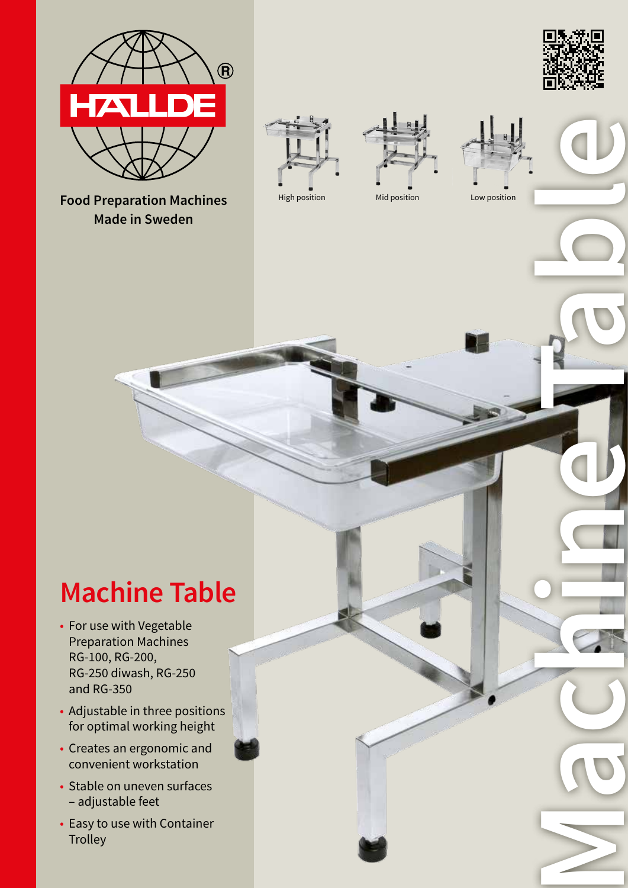

**Food Preparation Machines Made in Sweden**









**Machine Table**

# **Machine Table**

- For use with Vegetable Preparation Machines RG-100, RG-200, RG-250 diwash, RG-250 and RG-350
- Adjustable in three positions for optimal working height
- Creates an ergonomic and convenient workstation
- Stable on uneven surfaces – adjustable feet
- Easy to use with Container **Trolley**